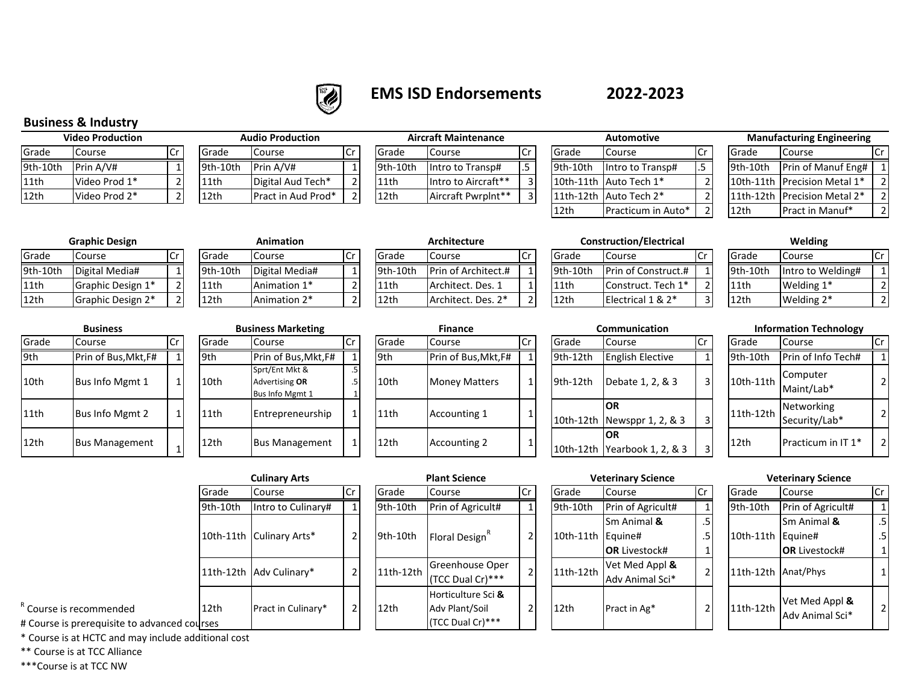

# **EMS ISD Endorsements**

# **2022-2023**

## **Business & Industry**

| <b>Video Production</b> |               |    |  |  |  |  |  |
|-------------------------|---------------|----|--|--|--|--|--|
| Grade                   | Course        | Cr |  |  |  |  |  |
| 9th-10th                | Prin A/V#     |    |  |  |  |  |  |
| 11th                    | Video Prod 1* |    |  |  |  |  |  |
| 12th                    | Video Prod 2* |    |  |  |  |  |  |

| <b>Video Production</b> |               | <b>Audio Production</b> |                |                    |      | <b>Aircraft Maintenance</b> |                      |  | Automotive |                          |  | <b>Manufacturing Engineering</b> |                                |  |
|-------------------------|---------------|-------------------------|----------------|--------------------|------|-----------------------------|----------------------|--|------------|--------------------------|--|----------------------------------|--------------------------------|--|
| Grade                   | course        |                         | <b>I</b> Grade | <b>Course</b>      | l Cr | Grade                       | <b>Course</b>        |  | Grade      | Course                   |  | Grade                            | Course                         |  |
| 9th-10th                | Prin A/V#     |                         | 19th-10th      | Prin A/V#          |      | 19th-10th                   | lintro to Transp#    |  | 9th-10th   | lintro to Transp#        |  | 9th-10th                         | Prin of Manuf Eng#             |  |
| 11th                    | Video Prod 1* |                         | 11th           | Digital Aud Tech*  |      | 11th                        | lintro to Aircraft** |  |            | 10th-11th Auto Tech 1*   |  |                                  | 10th-11th IPrecision Metal 1*  |  |
| 12th                    | Video Prod 2* |                         | 12th           | Pract in Aud Prod* |      | 12th                        | Aircraft PwrpInt**   |  |            | l11th-12th lAuto Tech 2* |  |                                  | 11th-12th   Precision Metal 2* |  |

|          | <b>Aircraft Maintenance</b> |                | Automotive |                       |
|----------|-----------------------------|----------------|------------|-----------------------|
| Grade    | Course                      | Cr             | Grade      | Course                |
| 9th-10th | Intro to Transp#            | .5             | $9th-10th$ | Intro to Trar         |
| 11th     | Intro to Aircraft**         | 3 <sub>1</sub> |            | 10th-11th Auto Tech 1 |
| 12th     | Aircraft Pwrplnt**          | 3              |            | 11th-12th Auto Tech 2 |

|          | <b>Automotive</b>      | <b>Manufacturing Engineering</b> |          |                              |                |  |
|----------|------------------------|----------------------------------|----------|------------------------------|----------------|--|
| Grade    | Course                 | Cr                               | Grade    | Course                       |                |  |
| 9th-10th | Intro to Transp#       | .5                               | 9th-10th | Prin of Manuf Eng#           | $\mathbf{1}$   |  |
|          | 10th-11th Auto Tech 1* | $\mathcal{D}$                    |          | 10th-11th Precision Metal 1* | $\mathcal{P}$  |  |
|          | 11th-12th Auto Tech 2* | $\overline{2}$                   |          | 11th-12th Precision Metal 2* | $\mathcal{P}$  |  |
| 12th     | Practicum in Auto*     | っ                                | 12th     | <b>Pract in Manuf*</b>       | $\mathfrak{D}$ |  |

| <b>Manufacturing Engineering</b> |                              |                |  |  |  |  |  |
|----------------------------------|------------------------------|----------------|--|--|--|--|--|
| Grade                            | Course                       |                |  |  |  |  |  |
| 9th-10th                         | Prin of Manuf Eng#           |                |  |  |  |  |  |
|                                  | 10th-11th Precision Metal 1* | $\overline{2}$ |  |  |  |  |  |
|                                  | 11th-12th Precision Metal 2* | $\overline{2}$ |  |  |  |  |  |
| 12th                             | Pract in Manuf*              |                |  |  |  |  |  |

|          | <b>Graphic Design</b> |                | Animation                |          | Architecture               |     |          | <b>Construction/Electrical</b> |              | Welding           |  |
|----------|-----------------------|----------------|--------------------------|----------|----------------------------|-----|----------|--------------------------------|--------------|-------------------|--|
| Grade    | Course                | <b>I</b> Grade | Course                   | Grade    | Course                     |     | Grade    | Course                         | <b>Grade</b> | Course            |  |
| 9th-10th | Digital Media#        | $9th-10th$     | Digital Media#           | 9th-10th | <b>Prin of Architect.#</b> |     | 9th-10th | <b>Prin of Construct.#</b>     | 9th-10th     | Intro to Welding# |  |
| 11th     | Graphic Design 1*     | 11th           | Animation 1*             | 11th     | Architect. Des. 1          |     | 11th     | Construct. Tech 1 <sup>*</sup> | 11th         | Welding 1*        |  |
| 12th     | Graphic Design 2*     | 12th           | Animation 2 <sup>*</sup> | 12th     | Architect. Des. 2*         | ີ I | 12th     | Electrical 1 & 2*              | l 12th       | Welding 2*        |  |

|              | Graphic Design    |  |                  | Animation      |  |  |  |  |  |  |  |
|--------------|-------------------|--|------------------|----------------|--|--|--|--|--|--|--|
| Cr<br>Course |                   |  | Grade            | Course         |  |  |  |  |  |  |  |
|              | Digital Media#    |  | 9th-10th         | Digital Media# |  |  |  |  |  |  |  |
|              | Graphic Design 1* |  | 11th             | Animation 1*   |  |  |  |  |  |  |  |
|              | Graphic Design 2* |  | 12 <sub>th</sub> | Animation 2*   |  |  |  |  |  |  |  |

|    |          | Architectu  |
|----|----------|-------------|
| Сr | Grade    | Course      |
|    | 9th-10th | Prin of Ard |
| 2  | 11th     | Architect.  |
|    | 12th     | Architect.  |
|    |          |             |

|         | <b>Architecture</b> |  |
|---------|---------------------|--|
| àrade   | Course              |  |
| th-10th | Prin of Architect.# |  |
| .1th    | Architect. Des. 1   |  |
| .2th    | Architect. Des. 2*  |  |

**Architecture Construction/Electrical**

| Grade   | Course              |  |  |  |  |  |  |  |
|---------|---------------------|--|--|--|--|--|--|--|
| th-10th | Prin of Construct.# |  |  |  |  |  |  |  |
| L1th    | Construct. Tech 1*  |  |  |  |  |  |  |  |
| ∣2th    | Electrical 1 & 2*   |  |  |  |  |  |  |  |

**Welding**

| Grade    | Course            |  |
|----------|-------------------|--|
| 9th-10th | Intro to Welding# |  |
| 11th     | Welding 1*        |  |
| 12th     | Welding 2*        |  |

|       | Business               |    |      |
|-------|------------------------|----|------|
| Grade | Course                 | Cr | Grad |
| 9th   | Prin of Bus, Mkt, F#   |    | 9th  |
| 10th  | Bus Info Mgmt 1        | 1  | 10th |
| 11th  | <b>Bus Info Mgmt 2</b> | 1  | 11th |
| 12th  | <b>Bus Management</b>  | 1  | 12th |

|       | <b>Business</b>       |  |      |                 | <b>Business Marketing</b>                                  | <b>Finance</b> |                  |                      |   |  |
|-------|-----------------------|--|------|-----------------|------------------------------------------------------------|----------------|------------------|----------------------|---|--|
| Grade | Cr<br>Course          |  |      | Grade<br>Course |                                                            | Cr             | Grade            | Course               |   |  |
| 9th   | Prin of Bus, Mkt, F#  |  | 9th  |                 | Prin of Bus, Mkt, F#                                       |                | 9th              | Prin of Bus, Mkt, F# |   |  |
| 10th  | Bus Info Mgmt 1       |  | 10th |                 | Sprt/Ent Mkt &<br><b>Advertising OR</b><br>Bus Info Mgmt 1 | .5<br>.5       | 10th             | <b>Money Matters</b> | 1 |  |
| 11th  | Bus Info Mgmt 2       |  | 11th |                 | Entrepreneurship                                           | 1              | 11th             | Accounting 1         | 1 |  |
| 12th  | <b>Bus Management</b> |  | 12th |                 | <b>Bus Management</b>                                      | 1              | 12 <sub>th</sub> | <b>Accounting 2</b>  | 1 |  |

|       | <b>Business Marketing</b>                           | <b>Finance</b> |       |                      |    |  |  |  |  |  |
|-------|-----------------------------------------------------|----------------|-------|----------------------|----|--|--|--|--|--|
| Grade | Course                                              | Cr             | Grade | Course               | Cr |  |  |  |  |  |
| 9th   | Prin of Bus, Mkt, F#                                |                | 9th   | Prin of Bus, Mkt, F# | 1  |  |  |  |  |  |
| 10th  | Sprt/Ent Mkt &<br>Advertising OR<br>Bus Info Mgmt 1 | .5<br>.5       | 10th  | <b>Money Matters</b> | 1  |  |  |  |  |  |
| 11th  | Entrepreneurship                                    | 1              | 11th  | Accounting 1         | 1  |  |  |  |  |  |
| 12th  | <b>Bus Management</b>                               | 1              | 12th  | <b>Accounting 2</b>  | 1  |  |  |  |  |  |

| <b>Business</b> |                       |  | <b>Business Marketing</b> |                                                     |          |       | <b>Finance</b>       |  |           | Communication                       | <b>Information Technology</b> |           |                             |  |
|-----------------|-----------------------|--|---------------------------|-----------------------------------------------------|----------|-------|----------------------|--|-----------|-------------------------------------|-------------------------------|-----------|-----------------------------|--|
| Grade           | Course                |  | Grade                     | Course                                              | .Cr      | Grade | Course               |  | Grade     | Course                              |                               | Grade     | Course                      |  |
| 9th             | Prin of Bus, Mkt, F#  |  | 9th                       | Prin of Bus, Mkt, F#                                |          | 9th   | Prin of Bus, Mkt, F# |  | 9th-12th  | <b>English Elective</b>             |                               | 9th-10th  | Prin of Info Tech#          |  |
| 10th            | Bus Info Mgmt 1       |  | 10th                      | Sprt/Ent Mkt &<br>Advertising OR<br>Bus Info Mgmt 1 | .5<br>.5 | 10th  | <b>Money Matters</b> |  | 9th-12th  | Debate 1, 2, & 3                    | $\overline{3}$                | 10th-11th | Computer<br>Maint/Lab*      |  |
| 11th            | Bus Info Mgmt 2       |  | 11th                      | Entrepreneurship                                    |          | 11th  | Accounting 1         |  |           | IOR<br>10th-12th Newsppr 1, 2, & 3  | $\overline{3}$                | 11th-12th | Networking<br>Security/Lab* |  |
| 12th            | <b>Bus Management</b> |  | 12th                      | <b>Bus Management</b>                               |          | 12th  | Accounting 2         |  | 10th-12th | <b>IOR</b><br>Yearbook $1, 2, 8, 3$ | $\overline{3}$                | 12th      | Practicum in IT 1*          |  |

| Information Technology |                             |    |  |  |  |  |  |  |  |  |
|------------------------|-----------------------------|----|--|--|--|--|--|--|--|--|
| Grade                  | Course                      | Cr |  |  |  |  |  |  |  |  |
| 9th-10th               | Prin of Info Tech#          |    |  |  |  |  |  |  |  |  |
| 10th-11th              | Computer<br>Maint/Lab*      | 2  |  |  |  |  |  |  |  |  |
| 11th-12th              | Networking<br>Security/Lab* | 2  |  |  |  |  |  |  |  |  |
| 12th                   | Practicum in IT 1*          |    |  |  |  |  |  |  |  |  |

|           | <b>Culinary Arts</b>     |     |           | <b>Plant Science</b>                                           |              |           | <b>Veterinary Science</b> | <b>Veterinary Science</b> |           |                                   |    |  |
|-----------|--------------------------|-----|-----------|----------------------------------------------------------------|--------------|-----------|---------------------------|---------------------------|-----------|-----------------------------------|----|--|
| Grade     | Course                   | .Cr | Grade     | Course                                                         | lCr          | Grade     | Course                    | <b>I</b> Cr               | Grade     | Course                            | Cr |  |
| 9th-10th  | Intro to Culinary#       | 1   | 9th-10th  | Prin of Agricult#                                              |              | 9th-10th  | Prin of Agricult#         |                           | 9th-10th  | Prin of Agricult#                 |    |  |
|           |                          |     |           |                                                                |              |           | Sm Animal &               | .5                        |           | Sm Animal &                       |    |  |
|           | 10th-11th Culinary Arts* | 21  | 9th-10th  | Floral Design <sup>®</sup>                                     | 2            | 10th-11th | Equine#                   | .5'                       | 10th-11th | Equine#                           |    |  |
|           |                          |     |           |                                                                |              |           | <b>IOR</b> Livestock#     |                           |           | <b>OR</b> Livestock#              |    |  |
|           |                          | 21  | 11th-12th | Greenhouse Oper                                                |              | 11th-12th | Vet Med Appl &            | $\overline{2}$            |           |                                   |    |  |
| 11th-12th | Adv Culinary*            |     |           | (TCC Dual Cr)***                                               |              |           | Adv Animal Sci*           |                           |           | 11th-12th Anat/Phys               |    |  |
| 12th      | Pract in Culinary*       | 2   | 12th      | Horticulture Sci &<br>Adv Plant/Soil<br>$ITCC$ Dual $Cx$ ) *** | $\mathbf{r}$ | 12th      | Pract in Ag*              | $\overline{2}$            | 11th-12th | Vet Med Appl &<br>Adv Animal Sci* |    |  |

| <b>Plant Science</b> |                                                          |    |  |  |  |  |  |  |  |
|----------------------|----------------------------------------------------------|----|--|--|--|--|--|--|--|
| Grade                | Course                                                   | Cr |  |  |  |  |  |  |  |
| 9th-10th             | Prin of Agricult#                                        |    |  |  |  |  |  |  |  |
| $9th-10th$           | Floral Design <sup>R</sup>                               |    |  |  |  |  |  |  |  |
| 11th-12th            | Greenhouse Oper<br>(TCC Dual Cr)***                      | 2  |  |  |  |  |  |  |  |
| 12th                 | Horticulture Sci &<br>Adv Plant/Soil<br>(TCC Dual Cr)*** |    |  |  |  |  |  |  |  |

| lant Science                  |                | <b>Veterinary Science</b> |                      |                |  |  |  |  |
|-------------------------------|----------------|---------------------------|----------------------|----------------|--|--|--|--|
| Course                        | Cr             | Grade                     | Course               | Cr             |  |  |  |  |
| Prin of Agricult#             | 1              | 9th-10th                  | Prin of Agricult#    |                |  |  |  |  |
|                               |                |                           | Sm Animal &          | .5             |  |  |  |  |
| Floral Design <sup>R</sup>    | $\overline{2}$ | 10th-11th                 | Equine#              | .5             |  |  |  |  |
|                               |                |                           | <b>OR Livestock#</b> | 1              |  |  |  |  |
| Greenhouse Oper               | $\overline{2}$ | 11th-12th                 | Vet Med Appl &       | $\mathfrak{p}$ |  |  |  |  |
| (TCC Dual Cr)***              |                |                           | Adv Animal Sci*      |                |  |  |  |  |
| Horticulture Sci <b>&amp;</b> |                |                           |                      |                |  |  |  |  |
| Adv Plant/Soil                | $\overline{2}$ | 12th                      | Pract in Ag*         | 2              |  |  |  |  |
| (TCC Dual Cr)***              |                |                           |                      |                |  |  |  |  |

#### 9th-10th Prin of Agricult# 1 10th-11th Equine# Sm Animal **& OR** Livestock# .5 .5 1  $11$ th-12th  $\sqrt{\frac{4}{7}}$ Anat/Phys 1  $\left| \frac{11 \text{th} - 12 \text{th}}{2 \text{th}} \right| \text{Net Med Appl } \& \text{}$  $\left[\begin{array}{c|c}\n\text{Net WEC} & \text{Apply} \\
\text{Adv Animal Sci*} & \end{array}\right]$ **Veterinary Science**

<sup>R</sup> Course is recommended

# Course is prerequisite to advanced courses

\* Course is at HCTC and may include additional cost

\*\* Course is at TCC Alliance

\*\*\*Course is at TCC NW